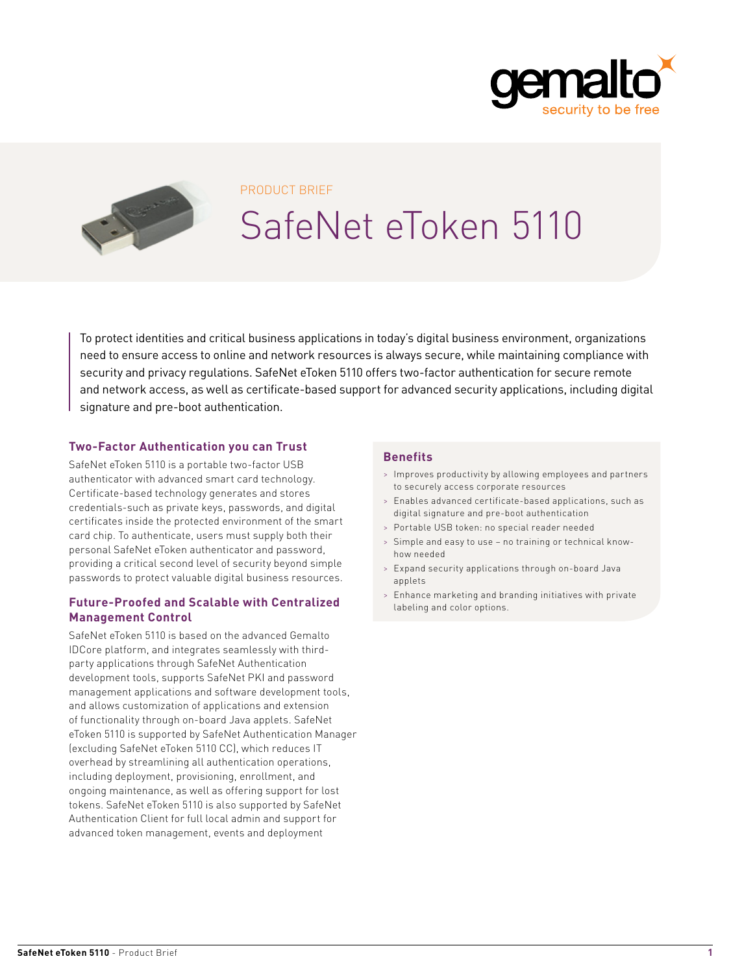



#### PRODUCT BRIEF

# SafeNet eToken 5110

To protect identities and critical business applications in today's digital business environment, organizations need to ensure access to online and network resources is always secure, while maintaining compliance with security and privacy regulations. SafeNet eToken 5110 offers two-factor authentication for secure remote and network access, as well as certificate-based support for advanced security applications, including digital signature and pre-boot authentication.

#### **Two-Factor Authentication you can Trust**

SafeNet eToken 5110 is a portable two-factor USB authenticator with advanced smart card technology. Certificate-based technology generates and stores credentials-such as private keys, passwords, and digital certificates inside the protected environment of the smart card chip. To authenticate, users must supply both their personal SafeNet eToken authenticator and password, providing a critical second level of security beyond simple passwords to protect valuable digital business resources.

#### **Future-Proofed and Scalable with Centralized Management Control**

SafeNet eToken 5110 is based on the advanced Gemalto IDCore platform, and integrates seamlessly with thirdparty applications through SafeNet Authentication development tools, supports SafeNet PKI and password management applications and software development tools, and allows customization of applications and extension of functionality through on-board Java applets. SafeNet eToken 5110 is supported by SafeNet Authentication Manager (excluding SafeNet eToken 5110 CC), which reduces IT overhead by streamlining all authentication operations, including deployment, provisioning, enrollment, and ongoing maintenance, as well as offering support for lost tokens. SafeNet eToken 5110 is also supported by SafeNet Authentication Client for full local admin and support for advanced token management, events and deployment

#### **Benefits**

- > Improves productivity by allowing employees and partners to securely access corporate resources
- > Enables advanced certificate-based applications, such as digital signature and pre-boot authentication
- Portable USB token: no special reader needed
- Simple and easy to use no training or technical knowhow needed
- > Expand security applications through on-board Java applets
- > Enhance marketing and branding initiatives with private labeling and color options.